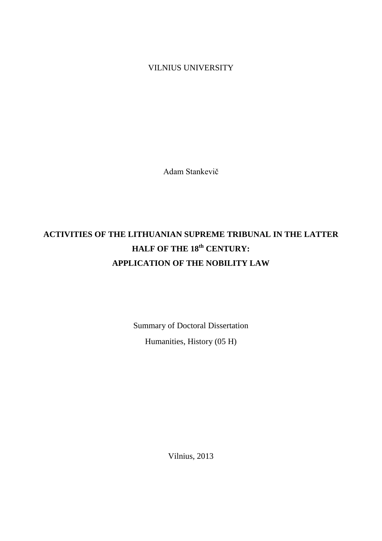VILNIUS UNIVERSITY

Adam Stankevič

# **ACTIVITIES OF THE LITHUANIAN SUPREME TRIBUNAL IN THE LATTER HALF OF THE 18th CENTURY: APPLICATION OF THE NOBILITY LAW**

Summary of Doctoral Dissertation Humanities, History (05 H)

Vilnius, 2013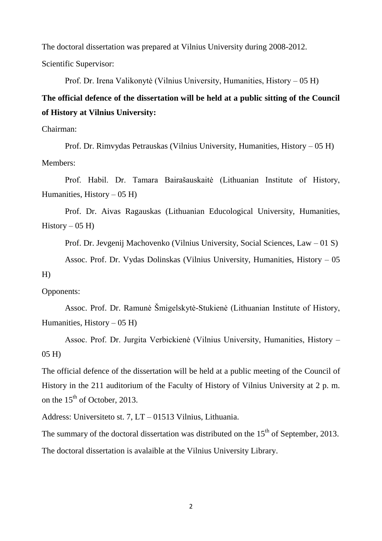The doctoral dissertation was prepared at Vilnius University during 2008-2012. Scientific Supervisor:

Prof. Dr. Irena Valikonytė (Vilnius University, Humanities, History – 05 H)

## **The official defence of the dissertation will be held at a public sitting of the Council of History at Vilnius University:**

Chairman:

Prof. Dr. Rimvydas Petrauskas (Vilnius University, Humanities, History – 05 H) Members:

Prof. Habil. Dr. Tamara Bairašauskaitė (Lithuanian Institute of History, Humanities, History  $-05$  H)

Prof. Dr. Aivas Ragauskas (Lithuanian Educological University, Humanities,  $History - 05 H$ 

Prof. Dr. Jevgenij Machovenko (Vilnius University, Social Sciences, Law – 01 S)

Assoc. Prof. Dr. Vydas Dolinskas (Vilnius University, Humanities, History – 05

H)

Opponents:

Assoc. Prof. Dr. Ramunė Šmigelskytė-Stukienė (Lithuanian Institute of History, Humanities, History  $-05$  H)

Assoc. Prof. Dr. Jurgita Verbickienė (Vilnius University, Humanities, History – 05 H)

The official defence of the dissertation will be held at a public meeting of the Council of History in the 211 auditorium of the Faculty of History of Vilnius University at 2 p. m. on the  $15<sup>th</sup>$  of October, 2013.

Address: Universiteto st. 7, LT – 01513 Vilnius, Lithuania.

The summary of the doctoral dissertation was distributed on the  $15<sup>th</sup>$  of September, 2013. The doctoral dissertation is avalaible at the Vilnius University Library.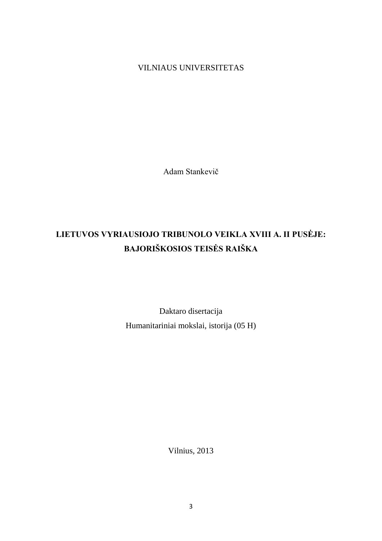VILNIAUS UNIVERSITETAS

Adam Stankevič

## **LIETUVOS VYRIAUSIOJO TRIBUNOLO VEIKLA XVIII A. II PUSĖJE: BAJORIŠKOSIOS TEISĖS RAIŠKA**

Daktaro disertacija Humanitariniai mokslai, istorija (05 H)

Vilnius, 2013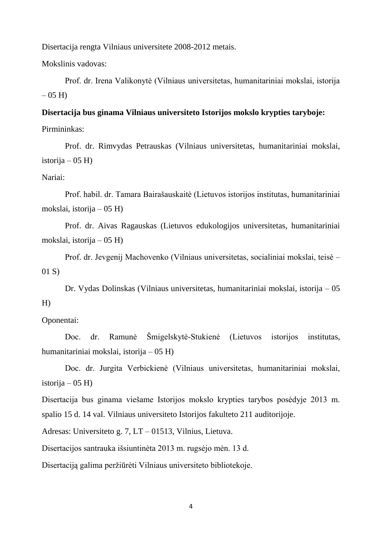Disertacija rengta Vilniaus universitete 2008-2012 metais.

Mokslinis vadovas:

Prof. dr. Irena Valikonytė (Vilniaus universitetas, humanitariniai mokslai, istorija  $-05$  H)

#### **Disertacija bus ginama Vilniaus universiteto Istorijos mokslo krypties taryboje:**

Pirmininkas:

Prof. dr. Rimvydas Petrauskas (Vilniaus universitetas, humanitariniai mokslai, istorija – 05 H)

## Nariai:

Prof. habil. dr. Tamara Bairašauskaitė (Lietuvos istorijos institutas, humanitariniai mokslai, istorija – 05 H)

Prof. dr. Aivas Ragauskas (Lietuvos edukologijos universitetas, humanitariniai mokslai, istorija – 05 H)

Prof. dr. Jevgenij Machovenko (Vilniaus universitetas, socialiniai mokslai, teisė – 01 S)

Dr. Vydas Dolinskas (Vilniaus universitetas, humanitariniai mokslai, istorija – 05 H)

## Oponentai:

Doc. dr. Ramunė Šmigelskytė-Stukienė (Lietuvos istorijos institutas, humanitariniai mokslai, istorija – 05 H)

Doc. dr. Jurgita Verbickienė (Vilniaus universitetas, humanitariniai mokslai, istorija –  $05$  H)

Disertacija bus ginama viešame Istorijos mokslo krypties tarybos posėdyje 2013 m. spalio 15 d. 14 val. Vilniaus universiteto Istorijos fakulteto 211 auditorijoje.

Adresas: Universiteto g. 7, LT – 01513, Vilnius, Lietuva.

Disertacijos santrauka išsiuntinėta 2013 m. rugsėjo mėn. 13 d.

Disertaciją galima peržiūrėti Vilniaus universiteto bibliotekoje.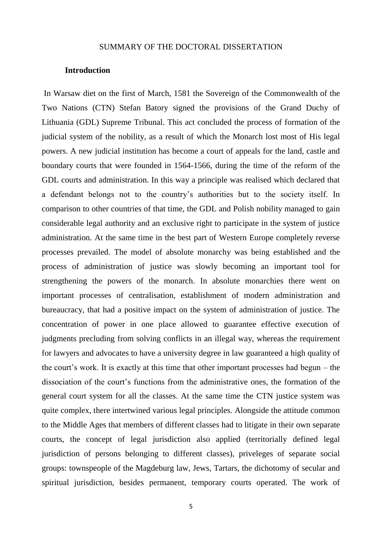### SUMMARY OF THE DOCTORAL DISSERTATION

#### **Introduction**

In Warsaw diet on the first of March, 1581 the Sovereign of the Commonwealth of the Two Nations (CTN) Stefan Batory signed the provisions of the Grand Duchy of Lithuania (GDL) Supreme Tribunal. This act concluded the process of formation of the judicial system of the nobility, as a result of which the Monarch lost most of His legal powers. A new judicial institution has become a court of appeals for the land, castle and boundary courts that were founded in 1564-1566, during the time of the reform of the GDL courts and administration. In this way a principle was realised which declared that a defendant belongs not to the country"s authorities but to the society itself. In comparison to other countries of that time, the GDL and Polish nobility managed to gain considerable legal authority and an exclusive right to participate in the system of justice administration. At the same time in the best part of Western Europe completely reverse processes prevailed. The model of absolute monarchy was being established and the process of administration of justice was slowly becoming an important tool for strengthening the powers of the monarch. In absolute monarchies there went on important processes of centralisation, establishment of modern administration and bureaucracy, that had a positive impact on the system of administration of justice. The concentration of power in one place allowed to guarantee effective execution of judgments precluding from solving conflicts in an illegal way, whereas the requirement for lawyers and advocates to have a university degree in law guaranteed a high quality of the court's work. It is exactly at this time that other important processes had begun – the dissociation of the court's functions from the administrative ones, the formation of the general court system for all the classes. At the same time the CTN justice system was quite complex, there intertwined various legal principles. Alongside the attitude common to the Middle Ages that members of different classes had to litigate in their own separate courts, the concept of legal jurisdiction also applied (territorially defined legal jurisdiction of persons belonging to different classes), priveleges of separate social groups: townspeople of the Magdeburg law, Jews, Tartars, the dichotomy of secular and spiritual jurisdiction, besides permanent, temporary courts operated. The work of

5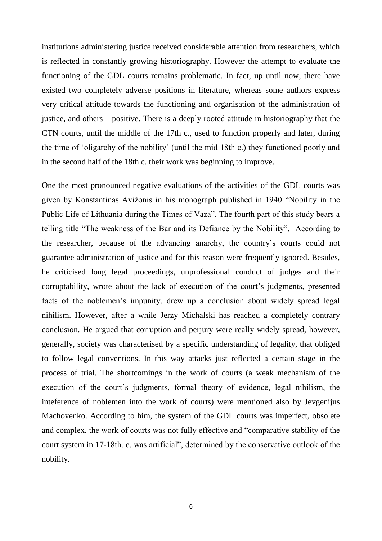institutions administering justice received considerable attention from researchers, which is reflected in constantly growing historiography. However the attempt to evaluate the functioning of the GDL courts remains problematic. In fact, up until now, there have existed two completely adverse positions in literature, whereas some authors express very critical attitude towards the functioning and organisation of the administration of justice, and others – positive. There is a deeply rooted attitude in historiography that the CTN courts, until the middle of the 17th c., used to function properly and later, during the time of "oligarchy of the nobility" (until the mid 18th c.) they functioned poorly and in the second half of the 18th c. their work was beginning to improve.

One the most pronounced negative evaluations of the activities of the GDL courts was given by Konstantinas Avižonis in his monograph published in 1940 "Nobility in the Public Life of Lithuania during the Times of Vaza". The fourth part of this study bears a telling title "The weakness of the Bar and its Defiance by the Nobility". According to the researcher, because of the advancing anarchy, the country"s courts could not guarantee administration of justice and for this reason were frequently ignored. Besides, he criticised long legal proceedings, unprofessional conduct of judges and their corruptability, wrote about the lack of execution of the court's judgments, presented facts of the noblemen"s impunity, drew up a conclusion about widely spread legal nihilism. However, after a while Jerzy Michalski has reached a completely contrary conclusion. He argued that corruption and perjury were really widely spread, however, generally, society was characterised by a specific understanding of legality, that obliged to follow legal conventions. In this way attacks just reflected a certain stage in the process of trial. The shortcomings in the work of courts (a weak mechanism of the execution of the court's judgments, formal theory of evidence, legal nihilism, the inteference of noblemen into the work of courts) were mentioned also by Jevgenijus Machovenko. According to him, the system of the GDL courts was imperfect, obsolete and complex, the work of courts was not fully effective and "comparative stability of the court system in 17-18th. c. was artificial", determined by the conservative outlook of the nobility.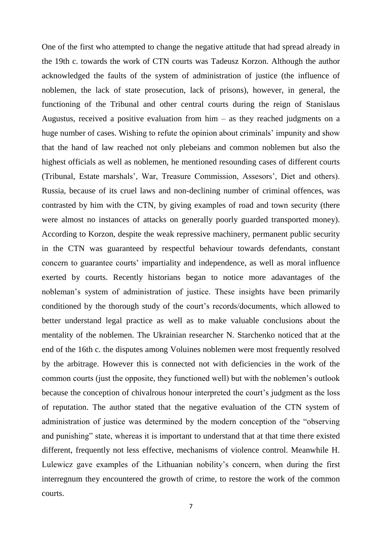One of the first who attempted to change the negative attitude that had spread already in the 19th c. towards the work of CTN courts was Tadeusz Korzon. Although the author acknowledged the faults of the system of administration of justice (the influence of noblemen, the lack of state prosecution, lack of prisons), however, in general, the functioning of the Tribunal and other central courts during the reign of Stanislaus Augustus, received a positive evaluation from him – as they reached judgments on a huge number of cases. Wishing to refute the opinion about criminals' impunity and show that the hand of law reached not only plebeians and common noblemen but also the highest officials as well as noblemen, he mentioned resounding cases of different courts (Tribunal, Estate marshals', War, Treasure Commission, Assesors', Diet and others). Russia, because of its cruel laws and non-declining number of criminal offences, was contrasted by him with the CTN, by giving examples of road and town security (there were almost no instances of attacks on generally poorly guarded transported money). According to Korzon, despite the weak repressive machinery, permanent public security in the CTN was guaranteed by respectful behaviour towards defendants, constant concern to guarantee courts' impartiality and independence, as well as moral influence exerted by courts. Recently historians began to notice more adavantages of the nobleman"s system of administration of justice. These insights have been primarily conditioned by the thorough study of the court"s records/documents, which allowed to better understand legal practice as well as to make valuable conclusions about the mentality of the noblemen. The Ukrainian researcher N. Starchenko noticed that at the end of the 16th c. the disputes among Voluines noblemen were most frequently resolved by the arbitrage. However this is connected not with deficiencies in the work of the common courts (just the opposite, they functioned well) but with the noblemen"s outlook because the conception of chivalrous honour interpreted the court's judgment as the loss of reputation. The author stated that the negative evaluation of the CTN system of administration of justice was determined by the modern conception of the "observing and punishing" state, whereas it is important to understand that at that time there existed different, frequently not less effective, mechanisms of violence control. Meanwhile H. Lulewicz gave examples of the Lithuanian nobility"s concern, when during the first interregnum they encountered the growth of crime, to restore the work of the common courts.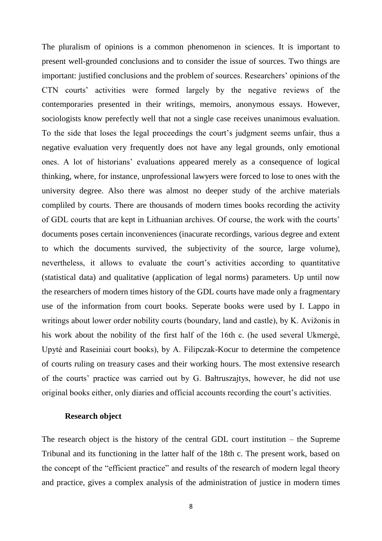The pluralism of opinions is a common phenomenon in sciences. It is important to present well-grounded conclusions and to consider the issue of sources. Two things are important: justified conclusions and the problem of sources. Researchers' opinions of the CTN courts" activities were formed largely by the negative reviews of the contemporaries presented in their writings, memoirs, anonymous essays. However, sociologists know perefectly well that not a single case receives unanimous evaluation. To the side that loses the legal proceedings the court"s judgment seems unfair, thus a negative evaluation very frequently does not have any legal grounds, only emotional ones. A lot of historians" evaluations appeared merely as a consequence of logical thinking, where, for instance, unprofessional lawyers were forced to lose to ones with the university degree. Also there was almost no deeper study of the archive materials compliled by courts. There are thousands of modern times books recording the activity of GDL courts that are kept in Lithuanian archives. Of course, the work with the courts" documents poses certain inconveniences (inacurate recordings, various degree and extent to which the documents survived, the subjectivity of the source, large volume), nevertheless, it allows to evaluate the court's activities according to quantitative (statistical data) and qualitative (application of legal norms) parameters. Up until now the researchers of modern times history of the GDL courts have made only a fragmentary use of the information from court books. Seperate books were used by I. Lappo in writings about lower order nobility courts (boundary, land and castle), by K. Avižonis in his work about the nobility of the first half of the 16th c. (he used several Ukmergė, Upytė and Raseiniai court books), by A. Filipczak-Kocur to determine the competence of courts ruling on treasury cases and their working hours. The most extensive research of the courts" practice was carried out by G. Bałtruszajtys, however, he did not use original books either, only diaries and official accounts recording the court's activities.

#### **Research object**

The research object is the history of the central GDL court institution – the Supreme Tribunal and its functioning in the latter half of the 18th c. The present work, based on the concept of the "efficient practice" and results of the research of modern legal theory and practice, gives a complex analysis of the administration of justice in modern times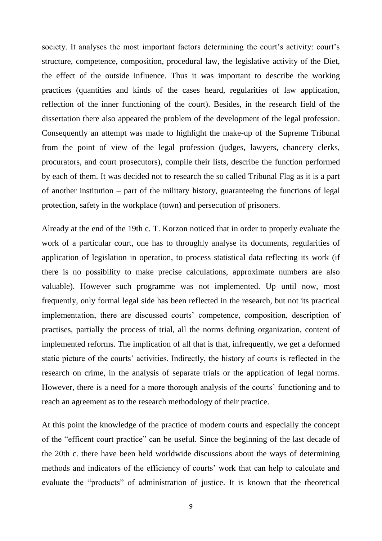society. It analyses the most important factors determining the court's activity: court's structure, competence, composition, procedural law, the legislative activity of the Diet, the effect of the outside influence. Thus it was important to describe the working practices (quantities and kinds of the cases heard, regularities of law application, reflection of the inner functioning of the court). Besides, in the research field of the dissertation there also appeared the problem of the development of the legal profession. Consequently an attempt was made to highlight the make-up of the Supreme Tribunal from the point of view of the legal profession (judges, lawyers, chancery clerks, procurators, and court prosecutors), compile their lists, describe the function performed by each of them. It was decided not to research the so called Tribunal Flag as it is a part of another institution – part of the military history, guaranteeing the functions of legal protection, safety in the workplace (town) and persecution of prisoners.

Already at the end of the 19th c. T. Korzon noticed that in order to properly evaluate the work of a particular court, one has to throughly analyse its documents, regularities of application of legislation in operation, to process statistical data reflecting its work (if there is no possibility to make precise calculations, approximate numbers are also valuable). However such programme was not implemented. Up until now, most frequently, only formal legal side has been reflected in the research, but not its practical implementation, there are discussed courts' competence, composition, description of practises, partially the process of trial, all the norms defining organization, content of implemented reforms. The implication of all that is that, infrequently, we get a deformed static picture of the courts' activities. Indirectly, the history of courts is reflected in the research on crime, in the analysis of separate trials or the application of legal norms. However, there is a need for a more thorough analysis of the courts' functioning and to reach an agreement as to the research methodology of their practice.

At this point the knowledge of the practice of modern courts and especially the concept of the "efficent court practice" can be useful. Since the beginning of the last decade of the 20th c. there have been held worldwide discussions about the ways of determining methods and indicators of the efficiency of courts" work that can help to calculate and evaluate the "products" of administration of justice. It is known that the theoretical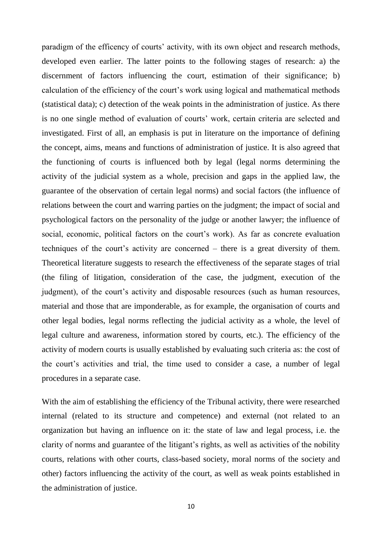paradigm of the efficency of courts' activity, with its own object and research methods, developed even earlier. The latter points to the following stages of research: a) the discernment of factors influencing the court, estimation of their significance; b) calculation of the efficiency of the court"s work using logical and mathematical methods (statistical data); c) detection of the weak points in the administration of justice. As there is no one single method of evaluation of courts' work, certain criteria are selected and investigated. First of all, an emphasis is put in literature on the importance of defining the concept, aims, means and functions of administration of justice. It is also agreed that the functioning of courts is influenced both by legal (legal norms determining the activity of the judicial system as a whole, precision and gaps in the applied law, the guarantee of the observation of certain legal norms) and social factors (the influence of relations between the court and warring parties on the judgment; the impact of social and psychological factors on the personality of the judge or another lawyer; the influence of social, economic, political factors on the court's work). As far as concrete evaluation techniques of the court's activity are concerned – there is a great diversity of them. Theoretical literature suggests to research the effectiveness of the separate stages of trial (the filing of litigation, consideration of the case, the judgment, execution of the judgment), of the court's activity and disposable resources (such as human resources, material and those that are imponderable, as for example, the organisation of courts and other legal bodies, legal norms reflecting the judicial activity as a whole, the level of legal culture and awareness, information stored by courts, etc.). The efficiency of the activity of modern courts is usually established by evaluating such criteria as: the cost of the court's activities and trial, the time used to consider a case, a number of legal procedures in a separate case.

With the aim of establishing the efficiency of the Tribunal activity, there were researched internal (related to its structure and competence) and external (not related to an organization but having an influence on it: the state of law and legal process, i.e. the clarity of norms and guarantee of the litigant's rights, as well as activities of the nobility courts, relations with other courts, class-based society, moral norms of the society and other) factors influencing the activity of the court, as well as weak points established in the administration of justice.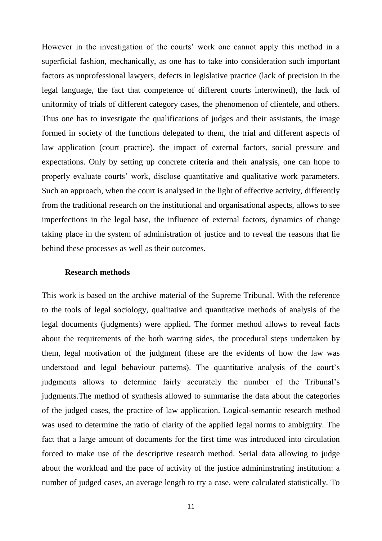However in the investigation of the courts' work one cannot apply this method in a superficial fashion, mechanically, as one has to take into consideration such important factors as unprofessional lawyers, defects in legislative practice (lack of precision in the legal language, the fact that competence of different courts intertwined), the lack of uniformity of trials of different category cases, the phenomenon of clientele, and others. Thus one has to investigate the qualifications of judges and their assistants, the image formed in society of the functions delegated to them, the trial and different aspects of law application (court practice), the impact of external factors, social pressure and expectations. Only by setting up concrete criteria and their analysis, one can hope to properly evaluate courts" work, disclose quantitative and qualitative work parameters. Such an approach, when the court is analysed in the light of effective activity, differently from the traditional research on the institutional and organisational aspects, allows to see imperfections in the legal base, the influence of external factors, dynamics of change taking place in the system of administration of justice and to reveal the reasons that lie behind these processes as well as their outcomes.

#### **Research methods**

This work is based on the archive material of the Supreme Tribunal. With the reference to the tools of legal sociology, qualitative and quantitative methods of analysis of the legal documents (judgments) were applied. The former method allows to reveal facts about the requirements of the both warring sides, the procedural steps undertaken by them, legal motivation of the judgment (these are the evidents of how the law was understood and legal behaviour patterns). The quantitative analysis of the court"s judgments allows to determine fairly accurately the number of the Tribunal"s judgments.The method of synthesis allowed to summarise the data about the categories of the judged cases, the practice of law application. Logical-semantic research method was used to determine the ratio of clarity of the applied legal norms to ambiguity. The fact that a large amount of documents for the first time was introduced into circulation forced to make use of the descriptive research method. Serial data allowing to judge about the workload and the pace of activity of the justice admininstrating institution: a number of judged cases, an average length to try a case, were calculated statistically. To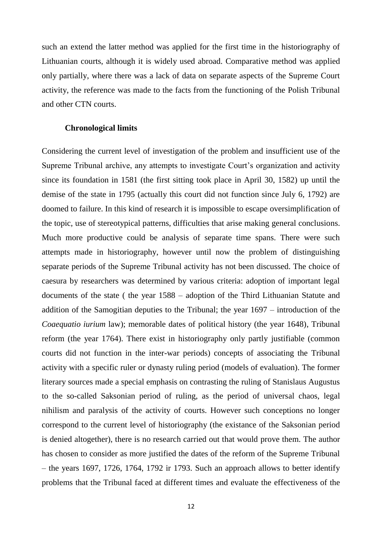such an extend the latter method was applied for the first time in the historiography of Lithuanian courts, although it is widely used abroad. Comparative method was applied only partially, where there was a lack of data on separate aspects of the Supreme Court activity, the reference was made to the facts from the functioning of the Polish Tribunal and other CTN courts.

#### **Chronological limits**

Considering the current level of investigation of the problem and insufficient use of the Supreme Tribunal archive, any attempts to investigate Court"s organization and activity since its foundation in 1581 (the first sitting took place in April 30, 1582) up until the demise of the state in 1795 (actually this court did not function since July 6, 1792) are doomed to failure. In this kind of research it is impossible to escape oversimplification of the topic, use of stereotypical patterns, difficulties that arise making general conclusions. Much more productive could be analysis of separate time spans. There were such attempts made in historiography, however until now the problem of distinguishing separate periods of the Supreme Tribunal activity has not been discussed. The choice of caesura by researchers was determined by various criteria: adoption of important legal documents of the state ( the year 1588 – adoption of the Third Lithuanian Statute and addition of the Samogitian deputies to the Tribunal; the year 1697 – introduction of the *Coaequatio iurium* law); memorable dates of political history (the year 1648), Tribunal reform (the year 1764). There exist in historiography only partly justifiable (common courts did not function in the inter-war periods) concepts of associating the Tribunal activity with a specific ruler or dynasty ruling period (models of evaluation). The former literary sources made a special emphasis on contrasting the ruling of Stanislaus Augustus to the so-called Saksonian period of ruling, as the period of universal chaos, legal nihilism and paralysis of the activity of courts. However such conceptions no longer correspond to the current level of historiography (the existance of the Saksonian period is denied altogether), there is no research carried out that would prove them. The author has chosen to consider as more justified the dates of the reform of the Supreme Tribunal – the years 1697, 1726, 1764, 1792 ir 1793. Such an approach allows to better identify problems that the Tribunal faced at different times and evaluate the effectiveness of the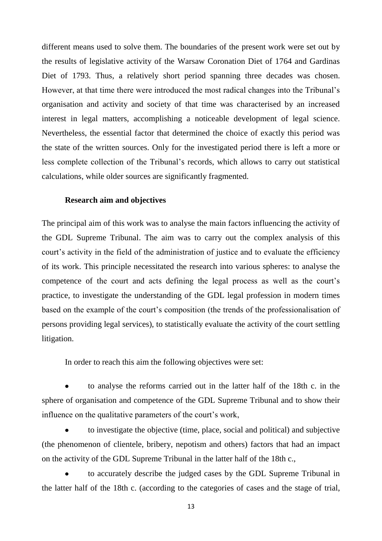different means used to solve them. The boundaries of the present work were set out by the results of legislative activity of the Warsaw Coronation Diet of 1764 and Gardinas Diet of 1793. Thus, a relatively short period spanning three decades was chosen. However, at that time there were introduced the most radical changes into the Tribunal"s organisation and activity and society of that time was characterised by an increased interest in legal matters, accomplishing a noticeable development of legal science. Nevertheless, the essential factor that determined the choice of exactly this period was the state of the written sources. Only for the investigated period there is left a more or less complete collection of the Tribunal"s records, which allows to carry out statistical calculations, while older sources are significantly fragmented.

#### **Research aim and objectives**

The principal aim of this work was to analyse the main factors influencing the activity of the GDL Supreme Tribunal. The aim was to carry out the complex analysis of this court's activity in the field of the administration of justice and to evaluate the efficiency of its work. This principle necessitated the research into various spheres: to analyse the competence of the court and acts defining the legal process as well as the court"s practice, to investigate the understanding of the GDL legal profession in modern times based on the example of the court's composition (the trends of the professionalisation of persons providing legal services), to statistically evaluate the activity of the court settling litigation.

In order to reach this aim the following objectives were set:

to analyse the reforms carried out in the latter half of the 18th c. in the sphere of organisation and competence of the GDL Supreme Tribunal and to show their influence on the qualitative parameters of the court's work,

to investigate the objective (time, place, social and political) and subjective (the phenomenon of clientele, bribery, nepotism and others) factors that had an impact on the activity of the GDL Supreme Tribunal in the latter half of the 18th c.,

to accurately describe the judged cases by the GDL Supreme Tribunal in the latter half of the 18th c. (according to the categories of cases and the stage of trial,

13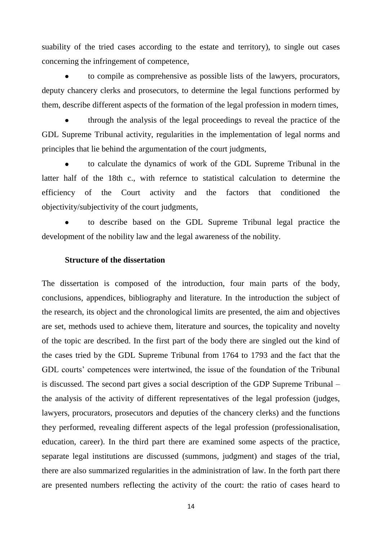suability of the tried cases according to the estate and territory), to single out cases concerning the infringement of competence,

to compile as comprehensive as possible lists of the lawyers, procurators, deputy chancery clerks and prosecutors, to determine the legal functions performed by them, describe different aspects of the formation of the legal profession in modern times,

through the analysis of the legal proceedings to reveal the practice of the GDL Supreme Tribunal activity, regularities in the implementation of legal norms and principles that lie behind the argumentation of the court judgments,

to calculate the dynamics of work of the GDL Supreme Tribunal in the latter half of the 18th c., with refernce to statistical calculation to determine the efficiency of the Court activity and the factors that conditioned the objectivity/subjectivity of the court judgments,

to describe based on the GDL Supreme Tribunal legal practice the development of the nobility law and the legal awareness of the nobility.

## **Structure of the dissertation**

The dissertation is composed of the introduction, four main parts of the body, conclusions, appendices, bibliography and literature. In the introduction the subject of the research, its object and the chronological limits are presented, the aim and objectives are set, methods used to achieve them, literature and sources, the topicality and novelty of the topic are described. In the first part of the body there are singled out the kind of the cases tried by the GDL Supreme Tribunal from 1764 to 1793 and the fact that the GDL courts' competences were intertwined, the issue of the foundation of the Tribunal is discussed. The second part gives a social description of the GDP Supreme Tribunal – the analysis of the activity of different representatives of the legal profession (judges, lawyers, procurators, prosecutors and deputies of the chancery clerks) and the functions they performed, revealing different aspects of the legal profession (professionalisation, education, career). In the third part there are examined some aspects of the practice, separate legal institutions are discussed (summons, judgment) and stages of the trial, there are also summarized regularities in the administration of law. In the forth part there are presented numbers reflecting the activity of the court: the ratio of cases heard to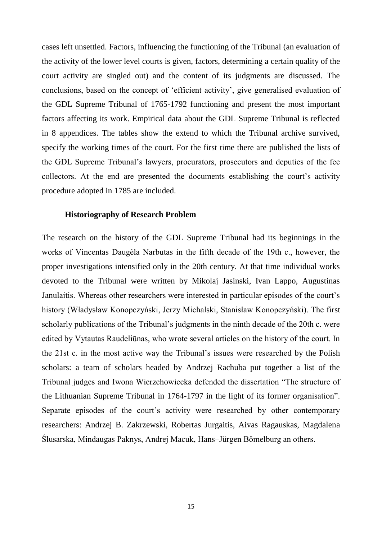cases left unsettled. Factors, influencing the functioning of the Tribunal (an evaluation of the activity of the lower level courts is given, factors, determining a certain quality of the court activity are singled out) and the content of its judgments are discussed. The conclusions, based on the concept of "efficient activity", give generalised evaluation of the GDL Supreme Tribunal of 1765-1792 functioning and present the most important factors affecting its work. Empirical data about the GDL Supreme Tribunal is reflected in 8 appendices. The tables show the extend to which the Tribunal archive survived, specify the working times of the court. For the first time there are published the lists of the GDL Supreme Tribunal"s lawyers, procurators, prosecutors and deputies of the fee collectors. At the end are presented the documents establishing the court's activity procedure adopted in 1785 are included.

#### **Historiography of Research Problem**

The research on the history of the GDL Supreme Tribunal had its beginnings in the works of Vincentas Daugėla Narbutas in the fifth decade of the 19th c., however, the proper investigations intensified only in the 20th century. At that time individual works devoted to the Tribunal were written by Mikolaj Jasinski, Ivan Lappo, Augustinas Janulaitis. Whereas other researchers were interested in particular episodes of the court's history (Władysław Konopczyński, Jerzy Michalski, Stanisław Konopczyński). The first scholarly publications of the Tribunal"s judgments in the ninth decade of the 20th c. were edited by Vytautas Raudeliūnas, who wrote several articles on the history of the court. In the 21st c. in the most active way the Tribunal"s issues were researched by the Polish scholars: a team of scholars headed by Andrzej Rachuba put together a list of the Tribunal judges and Iwona Wierzchowiecka defended the dissertation "The structure of the Lithuanian Supreme Tribunal in 1764-1797 in the light of its former organisation". Separate episodes of the court's activity were researched by other contemporary researchers: Andrzej B. Zakrzewski, Robertas Jurgaitis, Aivas Ragauskas, Magdalena Ślusarska, Mindaugas Paknys, Andrej Macuk, Hans–Jürgen Bömelburg an others.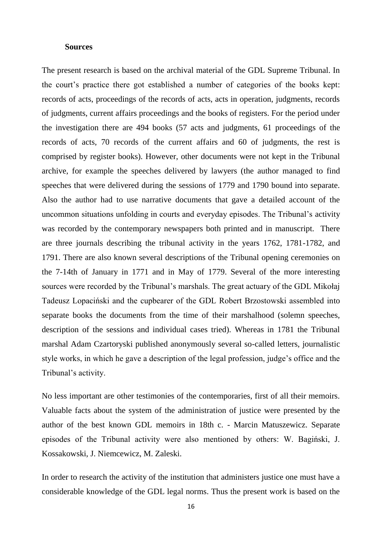#### **Sources**

The present research is based on the archival material of the GDL Supreme Tribunal. In the court"s practice there got established a number of categories of the books kept: records of acts, proceedings of the records of acts, acts in operation, judgments, records of judgments, current affairs proceedings and the books of registers. For the period under the investigation there are 494 books (57 acts and judgments, 61 proceedings of the records of acts, 70 records of the current affairs and 60 of judgments, the rest is comprised by register books). However, other documents were not kept in the Tribunal archive, for example the speeches delivered by lawyers (the author managed to find speeches that were delivered during the sessions of 1779 and 1790 bound into separate. Also the author had to use narrative documents that gave a detailed account of the uncommon situations unfolding in courts and everyday episodes. The Tribunal"s activity was recorded by the contemporary newspapers both printed and in manuscript. There are three journals describing the tribunal activity in the years 1762, 1781-1782, and 1791. There are also known several descriptions of the Tribunal opening ceremonies on the 7-14th of January in 1771 and in May of 1779. Several of the more interesting sources were recorded by the Tribunal's marshals. The great actuary of the GDL Mikołaj Tadeusz Lopaciński and the cupbearer of the GDL Robert Brzostowski assembled into separate books the documents from the time of their marshalhood (solemn speeches, description of the sessions and individual cases tried). Whereas in 1781 the Tribunal marshal Adam Czartoryski published anonymously several so-called letters, journalistic style works, in which he gave a description of the legal profession, judge's office and the Tribunal"s activity.

No less important are other testimonies of the contemporaries, first of all their memoirs. Valuable facts about the system of the administration of justice were presented by the author of the best known GDL memoirs in 18th c. - Marcin Matuszewicz. Separate episodes of the Tribunal activity were also mentioned by others: W. Bagiński, J. Kossakowski, J. Niemcewicz, M. Zaleski.

In order to research the activity of the institution that administers justice one must have a considerable knowledge of the GDL legal norms. Thus the present work is based on the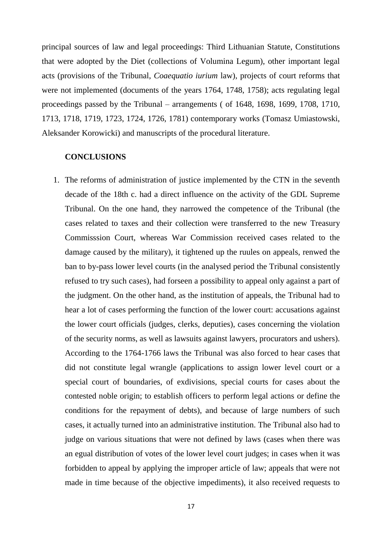principal sources of law and legal proceedings: Third Lithuanian Statute, Constitutions that were adopted by the Diet (collections of Volumina Legum), other important legal acts (provisions of the Tribunal, *Coaequatio iurium* law), projects of court reforms that were not implemented (documents of the years 1764, 1748, 1758); acts regulating legal proceedings passed by the Tribunal – arrangements ( of 1648, 1698, 1699, 1708, 1710, 1713, 1718, 1719, 1723, 1724, 1726, 1781) contemporary works (Tomasz Umiastowski, Aleksander Korowicki) and manuscripts of the procedural literature.

### **CONCLUSIONS**

1. The reforms of administration of justice implemented by the CTN in the seventh decade of the 18th c. had a direct influence on the activity of the GDL Supreme Tribunal. On the one hand, they narrowed the competence of the Tribunal (the cases related to taxes and their collection were transferred to the new Treasury Commisssion Court, whereas War Commission received cases related to the damage caused by the military), it tightened up the ruules on appeals, renwed the ban to by-pass lower level courts (in the analysed period the Tribunal consistently refused to try such cases), had forseen a possibility to appeal only against a part of the judgment. On the other hand, as the institution of appeals, the Tribunal had to hear a lot of cases performing the function of the lower court: accusations against the lower court officials (judges, clerks, deputies), cases concerning the violation of the security norms, as well as lawsuits against lawyers, procurators and ushers). According to the 1764-1766 laws the Tribunal was also forced to hear cases that did not constitute legal wrangle (applications to assign lower level court or a special court of boundaries, of exdivisions, special courts for cases about the contested noble origin; to establish officers to perform legal actions or define the conditions for the repayment of debts), and because of large numbers of such cases, it actually turned into an administrative institution. The Tribunal also had to judge on various situations that were not defined by laws (cases when there was an egual distribution of votes of the lower level court judges; in cases when it was forbidden to appeal by applying the improper article of law; appeals that were not made in time because of the objective impediments), it also received requests to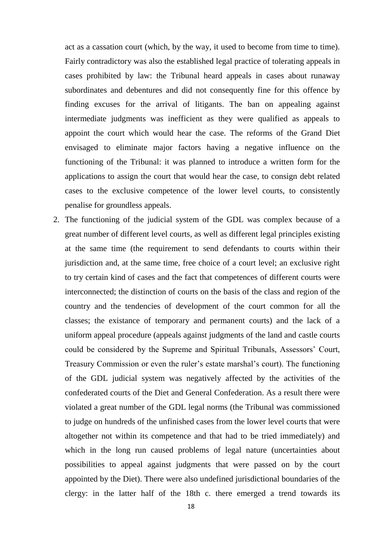act as a cassation court (which, by the way, it used to become from time to time). Fairly contradictory was also the established legal practice of tolerating appeals in cases prohibited by law: the Tribunal heard appeals in cases about runaway subordinates and debentures and did not consequently fine for this offence by finding excuses for the arrival of litigants. The ban on appealing against intermediate judgments was inefficient as they were qualified as appeals to appoint the court which would hear the case. The reforms of the Grand Diet envisaged to eliminate major factors having a negative influence on the functioning of the Tribunal: it was planned to introduce a written form for the applications to assign the court that would hear the case, to consign debt related cases to the exclusive competence of the lower level courts, to consistently penalise for groundless appeals.

2. The functioning of the judicial system of the GDL was complex because of a great number of different level courts, as well as different legal principles existing at the same time (the requirement to send defendants to courts within their jurisdiction and, at the same time, free choice of a court level; an exclusive right to try certain kind of cases and the fact that competences of different courts were interconnected; the distinction of courts on the basis of the class and region of the country and the tendencies of development of the court common for all the classes; the existance of temporary and permanent courts) and the lack of a uniform appeal procedure (appeals against judgments of the land and castle courts could be considered by the Supreme and Spiritual Tribunals, Assessors" Court, Treasury Commission or even the ruler's estate marshal's court). The functioning of the GDL judicial system was negatively affected by the activities of the confederated courts of the Diet and General Confederation. As a result there were violated a great number of the GDL legal norms (the Tribunal was commissioned to judge on hundreds of the unfinished cases from the lower level courts that were altogether not within its competence and that had to be tried immediately) and which in the long run caused problems of legal nature (uncertainties about possibilities to appeal against judgments that were passed on by the court appointed by the Diet). There were also undefined jurisdictional boundaries of the clergy: in the latter half of the 18th c. there emerged a trend towards its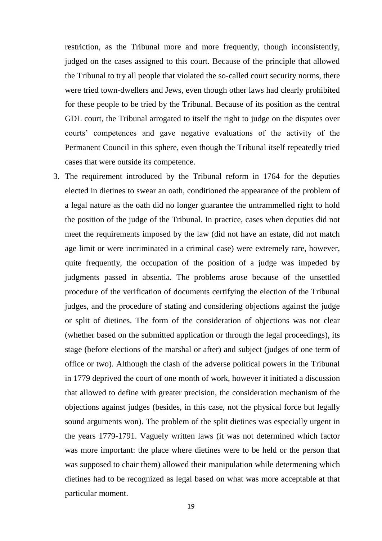restriction, as the Tribunal more and more frequently, though inconsistently, judged on the cases assigned to this court. Because of the principle that allowed the Tribunal to try all people that violated the so-called court security norms, there were tried town-dwellers and Jews, even though other laws had clearly prohibited for these people to be tried by the Tribunal. Because of its position as the central GDL court, the Tribunal arrogated to itself the right to judge on the disputes over courts" competences and gave negative evaluations of the activity of the Permanent Council in this sphere, even though the Tribunal itself repeatedly tried cases that were outside its competence.

3. The requirement introduced by the Tribunal reform in 1764 for the deputies elected in dietines to swear an oath, conditioned the appearance of the problem of a legal nature as the oath did no longer guarantee the untrammelled right to hold the position of the judge of the Tribunal. In practice, cases when deputies did not meet the requirements imposed by the law (did not have an estate, did not match age limit or were incriminated in a criminal case) were extremely rare, however, quite frequently, the occupation of the position of a judge was impeded by judgments passed in absentia. The problems arose because of the unsettled procedure of the verification of documents certifying the election of the Tribunal judges, and the procedure of stating and considering objections against the judge or split of dietines. The form of the consideration of objections was not clear (whether based on the submitted application or through the legal proceedings), its stage (before elections of the marshal or after) and subject (judges of one term of office or two). Although the clash of the adverse political powers in the Tribunal in 1779 deprived the court of one month of work, however it initiated a discussion that allowed to define with greater precision, the consideration mechanism of the objections against judges (besides, in this case, not the physical force but legally sound arguments won). The problem of the split dietines was especially urgent in the years 1779-1791. Vaguely written laws (it was not determined which factor was more important: the place where dietines were to be held or the person that was supposed to chair them) allowed their manipulation while determening which dietines had to be recognized as legal based on what was more acceptable at that particular moment.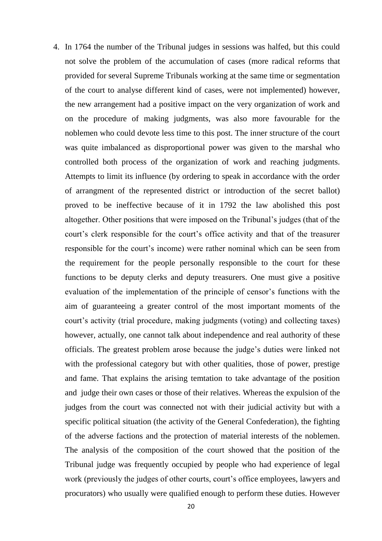4. In 1764 the number of the Tribunal judges in sessions was halfed, but this could not solve the problem of the accumulation of cases (more radical reforms that provided for several Supreme Tribunals working at the same time or segmentation of the court to analyse different kind of cases, were not implemented) however, the new arrangement had a positive impact on the very organization of work and on the procedure of making judgments, was also more favourable for the noblemen who could devote less time to this post. The inner structure of the court was quite imbalanced as disproportional power was given to the marshal who controlled both process of the organization of work and reaching judgments. Attempts to limit its influence (by ordering to speak in accordance with the order of arrangment of the represented district or introduction of the secret ballot) proved to be ineffective because of it in 1792 the law abolished this post altogether. Other positions that were imposed on the Tribunal"s judges (that of the court's clerk responsible for the court's office activity and that of the treasurer responsible for the court's income) were rather nominal which can be seen from the requirement for the people personally responsible to the court for these functions to be deputy clerks and deputy treasurers. One must give a positive evaluation of the implementation of the principle of censor"s functions with the aim of guaranteeing a greater control of the most important moments of the court's activity (trial procedure, making judgments (voting) and collecting taxes) however, actually, one cannot talk about independence and real authority of these officials. The greatest problem arose because the judge"s duties were linked not with the professional category but with other qualities, those of power, prestige and fame. That explains the arising temtation to take advantage of the position and judge their own cases or those of their relatives. Whereas the expulsion of the judges from the court was connected not with their judicial activity but with a specific political situation (the activity of the General Confederation), the fighting of the adverse factions and the protection of material interests of the noblemen. The analysis of the composition of the court showed that the position of the Tribunal judge was frequently occupied by people who had experience of legal work (previously the judges of other courts, court's office employees, lawyers and procurators) who usually were qualified enough to perform these duties. However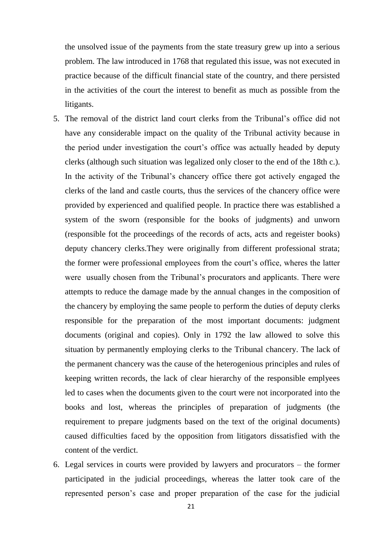the unsolved issue of the payments from the state treasury grew up into a serious problem. The law introduced in 1768 that regulated this issue, was not executed in practice because of the difficult financial state of the country, and there persisted in the activities of the court the interest to benefit as much as possible from the litigants.

- 5. The removal of the district land court clerks from the Tribunal"s office did not have any considerable impact on the quality of the Tribunal activity because in the period under investigation the court's office was actually headed by deputy clerks (although such situation was legalized only closer to the end of the 18th c.). In the activity of the Tribunal's chancery office there got actively engaged the clerks of the land and castle courts, thus the services of the chancery office were provided by experienced and qualified people. In practice there was established a system of the sworn (responsible for the books of judgments) and unworn (responsible fot the proceedings of the records of acts, acts and regeister books) deputy chancery clerks.They were originally from different professional strata; the former were professional employees from the court's office, wheres the latter were usually chosen from the Tribunal"s procurators and applicants. There were attempts to reduce the damage made by the annual changes in the composition of the chancery by employing the same people to perform the duties of deputy clerks responsible for the preparation of the most important documents: judgment documents (original and copies). Only in 1792 the law allowed to solve this situation by permanently employing clerks to the Tribunal chancery. The lack of the permanent chancery was the cause of the heterogenious principles and rules of keeping written records, the lack of clear hierarchy of the responsible emplyees led to cases when the documents given to the court were not incorporated into the books and lost, whereas the principles of preparation of judgments (the requirement to prepare judgments based on the text of the original documents) caused difficulties faced by the opposition from litigators dissatisfied with the content of the verdict.
- 6. Legal services in courts were provided by lawyers and procurators the former participated in the judicial proceedings, whereas the latter took care of the represented person"s case and proper preparation of the case for the judicial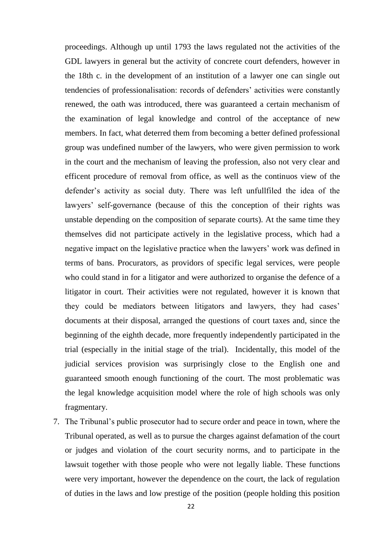proceedings. Although up until 1793 the laws regulated not the activities of the GDL lawyers in general but the activity of concrete court defenders, however in the 18th c. in the development of an institution of a lawyer one can single out tendencies of professionalisation: records of defenders' activities were constantly renewed, the oath was introduced, there was guaranteed a certain mechanism of the examination of legal knowledge and control of the acceptance of new members. In fact, what deterred them from becoming a better defined professional group was undefined number of the lawyers, who were given permission to work in the court and the mechanism of leaving the profession, also not very clear and efficent procedure of removal from office, as well as the continuos view of the defender"s activity as social duty. There was left unfullfiled the idea of the lawyers' self-governance (because of this the conception of their rights was unstable depending on the composition of separate courts). At the same time they themselves did not participate actively in the legislative process, which had a negative impact on the legislative practice when the lawyers' work was defined in terms of bans. Procurators, as providors of specific legal services, were people who could stand in for a litigator and were authorized to organise the defence of a litigator in court. Their activities were not regulated, however it is known that they could be mediators between litigators and lawyers, they had cases" documents at their disposal, arranged the questions of court taxes and, since the beginning of the eighth decade, more frequently independently participated in the trial (especially in the initial stage of the trial). Incidentally, this model of the judicial services provision was surprisingly close to the English one and guaranteed smooth enough functioning of the court. The most problematic was the legal knowledge acquisition model where the role of high schools was only fragmentary.

7. The Tribunal"s public prosecutor had to secure order and peace in town, where the Tribunal operated, as well as to pursue the charges against defamation of the court or judges and violation of the court security norms, and to participate in the lawsuit together with those people who were not legally liable. These functions were very important, however the dependence on the court, the lack of regulation of duties in the laws and low prestige of the position (people holding this position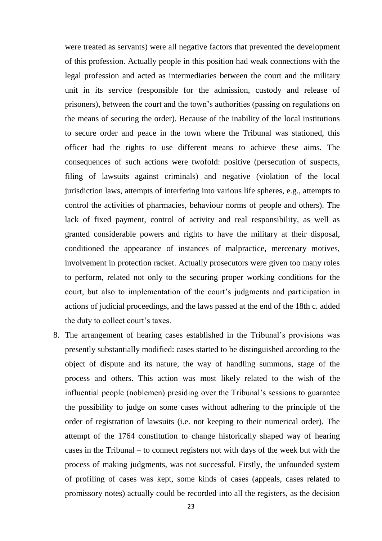were treated as servants) were all negative factors that prevented the development of this profession. Actually people in this position had weak connections with the legal profession and acted as intermediaries between the court and the military unit in its service (responsible for the admission, custody and release of prisoners), between the court and the town"s authorities (passing on regulations on the means of securing the order). Because of the inability of the local institutions to secure order and peace in the town where the Tribunal was stationed, this officer had the rights to use different means to achieve these aims. The consequences of such actions were twofold: positive (persecution of suspects, filing of lawsuits against criminals) and negative (violation of the local jurisdiction laws, attempts of interfering into various life spheres, e.g., attempts to control the activities of pharmacies, behaviour norms of people and others). The lack of fixed payment, control of activity and real responsibility, as well as granted considerable powers and rights to have the military at their disposal, conditioned the appearance of instances of malpractice, mercenary motives, involvement in protection racket. Actually prosecutors were given too many roles to perform, related not only to the securing proper working conditions for the court, but also to implementation of the court"s judgments and participation in actions of judicial proceedings, and the laws passed at the end of the 18th c. added the duty to collect court's taxes.

8. The arrangement of hearing cases established in the Tribunal"s provisions was presently substantially modified: cases started to be distinguished according to the object of dispute and its nature, the way of handling summons, stage of the process and others. This action was most likely related to the wish of the influential people (noblemen) presiding over the Tribunal"s sessions to guarantee the possibility to judge on some cases without adhering to the principle of the order of registration of lawsuits (i.e. not keeping to their numerical order). The attempt of the 1764 constitution to change historically shaped way of hearing cases in the Tribunal – to connect registers not with days of the week but with the process of making judgments, was not successful. Firstly, the unfounded system of profiling of cases was kept, some kinds of cases (appeals, cases related to promissory notes) actually could be recorded into all the registers, as the decision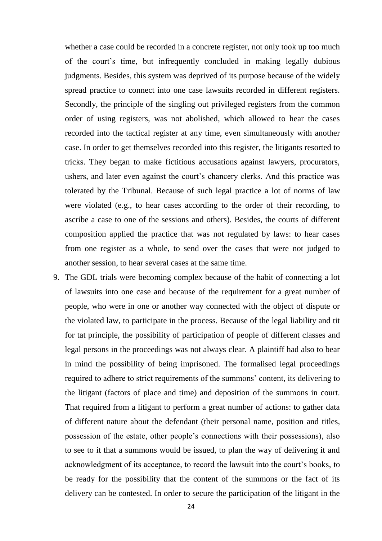whether a case could be recorded in a concrete register, not only took up too much of the court"s time, but infrequently concluded in making legally dubious judgments. Besides, this system was deprived of its purpose because of the widely spread practice to connect into one case lawsuits recorded in different registers. Secondly, the principle of the singling out privileged registers from the common order of using registers, was not abolished, which allowed to hear the cases recorded into the tactical register at any time, even simultaneously with another case. In order to get themselves recorded into this register, the litigants resorted to tricks. They began to make fictitious accusations against lawyers, procurators, ushers, and later even against the court's chancery clerks. And this practice was tolerated by the Tribunal. Because of such legal practice a lot of norms of law were violated (e.g., to hear cases according to the order of their recording, to ascribe a case to one of the sessions and others). Besides, the courts of different composition applied the practice that was not regulated by laws: to hear cases from one register as a whole, to send over the cases that were not judged to another session, to hear several cases at the same time.

9. The GDL trials were becoming complex because of the habit of connecting a lot of lawsuits into one case and because of the requirement for a great number of people, who were in one or another way connected with the object of dispute or the violated law, to participate in the process. Because of the legal liability and tit for tat principle, the possibility of participation of people of different classes and legal persons in the proceedings was not always clear. A plaintiff had also to bear in mind the possibility of being imprisoned. The formalised legal proceedings required to adhere to strict requirements of the summons' content, its delivering to the litigant (factors of place and time) and deposition of the summons in court. That required from a litigant to perform a great number of actions: to gather data of different nature about the defendant (their personal name, position and titles, possession of the estate, other people"s connections with their possessions), also to see to it that a summons would be issued, to plan the way of delivering it and acknowledgment of its acceptance, to record the lawsuit into the court"s books, to be ready for the possibility that the content of the summons or the fact of its delivery can be contested. In order to secure the participation of the litigant in the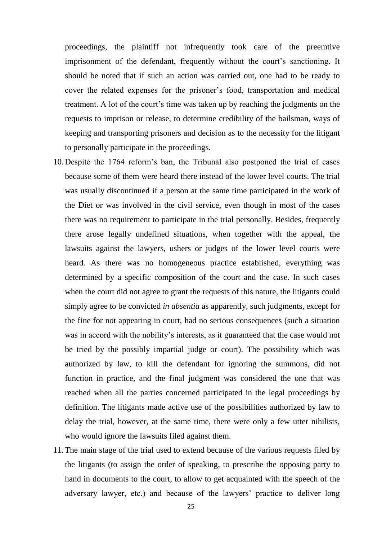proceedings, the plaintiff not infrequently took care of the preemtive imprisonment of the defendant, frequently without the court's sanctioning. It should be noted that if such an action was carried out, one had to be ready to cover the related expenses for the prisoner"s food, transportation and medical treatment. A lot of the court's time was taken up by reaching the judgments on the requests to imprison or release, to determine credibility of the bailsman, ways of keeping and transporting prisoners and decision as to the necessity for the litigant to personally participate in the proceedings.

- 10.Despite the 1764 reform"s ban, the Tribunal also postponed the trial of cases because some of them were heard there instead of the lower level courts. The trial was usually discontinued if a person at the same time participated in the work of the Diet or was involved in the civil service, even though in most of the cases there was no requirement to participate in the trial personally. Besides, frequently there arose legally undefined situations, when together with the appeal, the lawsuits against the lawyers, ushers or judges of the lower level courts were heard. As there was no homogeneous practice established, everything was determined by a specific composition of the court and the case. In such cases when the court did not agree to grant the requests of this nature, the litigants could simply agree to be convicted *in absentia* as apparently, such judgments, except for the fine for not appearing in court, had no serious consequences (such a situation was in accord with the nobility's interests, as it guaranteed that the case would not be tried by the possibly impartial judge or court). The possibility which was authorized by law, to kill the defendant for ignoring the summons, did not function in practice, and the final judgment was considered the one that was reached when all the parties concerned participated in the legal proceedings by definition. The litigants made active use of the possibilities authorized by law to delay the trial, however, at the same time, there were only a few utter nihilists, who would ignore the lawsuits filed against them.
- 11.The main stage of the trial used to extend because of the various requests filed by the litigants (to assign the order of speaking, to prescribe the opposing party to hand in documents to the court, to allow to get acquainted with the speech of the adversary lawyer, etc.) and because of the lawyers' practice to deliver long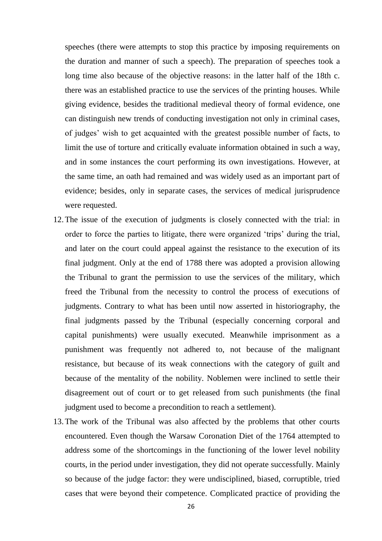speeches (there were attempts to stop this practice by imposing requirements on the duration and manner of such a speech). The preparation of speeches took a long time also because of the objective reasons: in the latter half of the 18th c. there was an established practice to use the services of the printing houses. While giving evidence, besides the traditional medieval theory of formal evidence, one can distinguish new trends of conducting investigation not only in criminal cases, of judges" wish to get acquainted with the greatest possible number of facts, to limit the use of torture and critically evaluate information obtained in such a way, and in some instances the court performing its own investigations. However, at the same time, an oath had remained and was widely used as an important part of evidence; besides, only in separate cases, the services of medical jurisprudence were requested.

- 12.The issue of the execution of judgments is closely connected with the trial: in order to force the parties to litigate, there were organized "trips" during the trial, and later on the court could appeal against the resistance to the execution of its final judgment. Only at the end of 1788 there was adopted a provision allowing the Tribunal to grant the permission to use the services of the military, which freed the Tribunal from the necessity to control the process of executions of judgments. Contrary to what has been until now asserted in historiography, the final judgments passed by the Tribunal (especially concerning corporal and capital punishments) were usually executed. Meanwhile imprisonment as a punishment was frequently not adhered to, not because of the malignant resistance, but because of its weak connections with the category of guilt and because of the mentality of the nobility. Noblemen were inclined to settle their disagreement out of court or to get released from such punishments (the final judgment used to become a precondition to reach a settlement).
- 13.The work of the Tribunal was also affected by the problems that other courts encountered. Even though the Warsaw Coronation Diet of the 1764 attempted to address some of the shortcomings in the functioning of the lower level nobility courts, in the period under investigation, they did not operate successfully. Mainly so because of the judge factor: they were undisciplined, biased, corruptible, tried cases that were beyond their competence. Complicated practice of providing the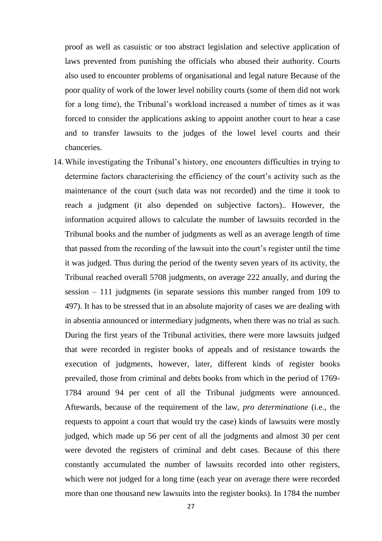proof as well as casuistic or too abstract legislation and selective application of laws prevented from punishing the officials who abused their authority. Courts also used to encounter problems of organisational and legal nature Because of the poor quality of work of the lower level nobility courts (some of them did not work for a long time), the Tribunal"s workload increased a number of times as it was forced to consider the applications asking to appoint another court to hear a case and to transfer lawsuits to the judges of the lowel level courts and their chanceries.

14.While investigating the Tribunal"s history, one encounters difficulties in trying to determine factors characterising the efficiency of the court's activity such as the maintenance of the court (such data was not recorded) and the time it took to reach a judgment (it also depended on subjective factors).. However, the information acquired allows to calculate the number of lawsuits recorded in the Tribunal books and the number of judgments as well as an average length of time that passed from the recording of the lawsuit into the court's register until the time it was judged. Thus during the period of the twenty seven years of its activity, the Tribunal reached overall 5708 judgments, on average 222 anually, and during the session – 111 judgments (in separate sessions this number ranged from 109 to 497). It has to be stressed that in an absolute majority of cases we are dealing with in absentia announced or intermediary judgments, when there was no trial as such. During the first years of the Tribunal activities, there were more lawsuits judged that were recorded in register books of appeals and of resistance towards the execution of judgments, however, later, different kinds of register books prevailed, those from criminal and debts books from which in the period of 1769- 1784 around 94 per cent of all the Tribunal judgments were announced. Aftewards, because of the requirement of the law, *pro determinatione* (i.e., the requests to appoint a court that would try the case) kinds of lawsuits were mostly judged, which made up 56 per cent of all the judgments and almost 30 per cent were devoted the registers of criminal and debt cases. Because of this there constantly accumulated the number of lawsuits recorded into other registers, which were not judged for a long time (each year on average there were recorded more than one thousand new lawsuits into the register books). In 1784 the number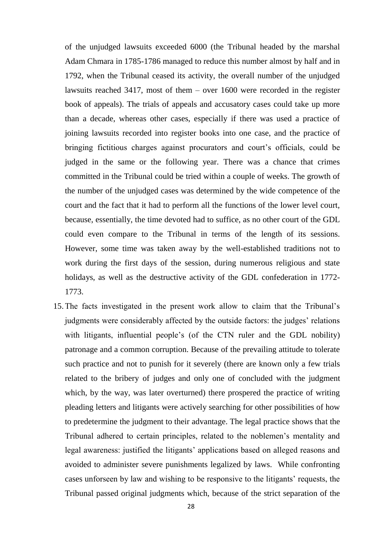of the unjudged lawsuits exceeded 6000 (the Tribunal headed by the marshal Adam Chmara in 1785-1786 managed to reduce this number almost by half and in 1792, when the Tribunal ceased its activity, the overall number of the unjudged lawsuits reached 3417, most of them – over 1600 were recorded in the register book of appeals). The trials of appeals and accusatory cases could take up more than a decade, whereas other cases, especially if there was used a practice of joining lawsuits recorded into register books into one case, and the practice of bringing fictitious charges against procurators and court"s officials, could be judged in the same or the following year. There was a chance that crimes committed in the Tribunal could be tried within a couple of weeks. The growth of the number of the unjudged cases was determined by the wide competence of the court and the fact that it had to perform all the functions of the lower level court, because, essentially, the time devoted had to suffice, as no other court of the GDL could even compare to the Tribunal in terms of the length of its sessions. However, some time was taken away by the well-established traditions not to work during the first days of the session, during numerous religious and state holidays, as well as the destructive activity of the GDL confederation in 1772-1773.

15.The facts investigated in the present work allow to claim that the Tribunal"s judgments were considerably affected by the outside factors: the judges' relations with litigants, influential people's (of the CTN ruler and the GDL nobility) patronage and a common corruption. Because of the prevailing attitude to tolerate such practice and not to punish for it severely (there are known only a few trials related to the bribery of judges and only one of concluded with the judgment which, by the way, was later overturned) there prospered the practice of writing pleading letters and litigants were actively searching for other possibilities of how to predetermine the judgment to their advantage. The legal practice shows that the Tribunal adhered to certain principles, related to the noblemen"s mentality and legal awareness: justified the litigants' applications based on alleged reasons and avoided to administer severe punishments legalized by laws. While confronting cases unforseen by law and wishing to be responsive to the litigants" requests, the Tribunal passed original judgments which, because of the strict separation of the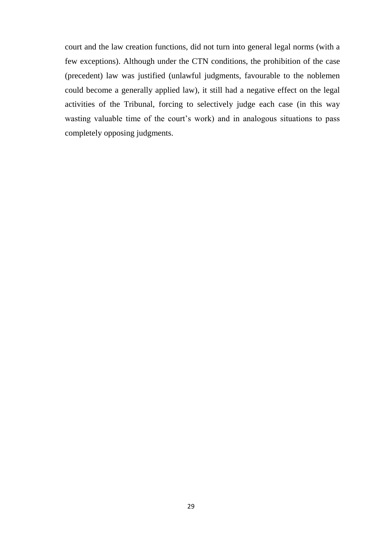court and the law creation functions, did not turn into general legal norms (with a few exceptions). Although under the CTN conditions, the prohibition of the case (precedent) law was justified (unlawful judgments, favourable to the noblemen could become a generally applied law), it still had a negative effect on the legal activities of the Tribunal, forcing to selectively judge each case (in this way wasting valuable time of the court's work) and in analogous situations to pass completely opposing judgments.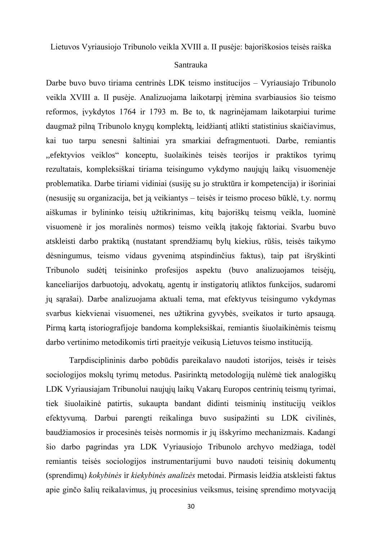Lietuvos Vyriausiojo Tribunolo veikla XVIII a. II pusėje: bajoriškosios teisės raiška

#### Santrauka

Darbe buvo buvo tiriama centrinės LDK teismo institucijos – Vyriausiajo Tribunolo veikla XVIII a. II pusėje. Analizuojama laikotarpį įrėmina svarbiausios šio teismo reformos, įvykdytos 1764 ir 1793 m. Be to, tk nagrinėjamam laikotarpiui turime daugmaž pilną Tribunolo knygų komplektą, leidžiantį atlikti statistinius skaičiavimus, kai tuo tarpu senesni šaltiniai yra smarkiai defragmentuoti. Darbe, remiantis ,,efektyvios veiklos" konceptu, šuolaikinės teisės teorijos ir praktikos tyrimų rezultatais, kompleksiškai tiriama teisingumo vykdymo naujųjų laikų visuomenėje problematika. Darbe tiriami vidiniai (susiję su jo struktūra ir kompetencija) ir išoriniai (nesusiję su organizacija, bet ją veikiantys – teisės ir teismo proceso būklė, t.y. normų aiškumas ir bylininko teisių užtikrinimas, kitų bajoriškų teismų veikla, luominė visuomenė ir jos moralinės normos) teismo veiklą įtakoję faktoriai. Svarbu buvo atskleisti darbo praktiką (nustatant sprendžiamų bylų kiekius, rūšis, teisės taikymo dėsningumus, teismo vidaus gyvenimą atspindinčius faktus), taip pat išryškinti Tribunolo sudėtį teisininko profesijos aspektu (buvo analizuojamos teisėjų, kanceliarijos darbuotojų, advokatų, agentų ir instigatorių atliktos funkcijos, sudaromi jų sąrašai). Darbe analizuojama aktuali tema, mat efektyvus teisingumo vykdymas svarbus kiekvienai visuomenei, nes užtikrina gyvybės, sveikatos ir turto apsaugą. Pirmą kartą istoriografijoje bandoma kompleksiškai, remiantis šiuolaikinėmis teismų darbo vertinimo metodikomis tirti praeityje veikusią Lietuvos teismo instituciją.

Tarpdisciplininis darbo pobūdis pareikalavo naudoti istorijos, teisės ir teisės sociologijos mokslų tyrimų metodus. Pasirinktą metodologiją nulėmė tiek analogiškų LDK Vyriausiajam Tribunolui naujųjų laikų Vakarų Europos centrinių teismų tyrimai, tiek šiuolaikinė patirtis, sukaupta bandant didinti teisminių institucijų veiklos efektyvumą. Darbui parengti reikalinga buvo susipažinti su LDK civilinės, baudžiamosios ir procesinės teisės normomis ir jų išskyrimo mechanizmais. Kadangi šio darbo pagrindas yra LDK Vyriausiojo Tribunolo archyvo medžiaga, todėl remiantis teisės sociologijos instrumentarijumi buvo naudoti teisinių dokumentų (sprendimų) *kokybinės* ir *kiekybinės analizės* metodai. Pirmasis leidţia atskleisti faktus apie ginčo šalių reikalavimus, jų procesinius veiksmus, teisinę sprendimo motyvaciją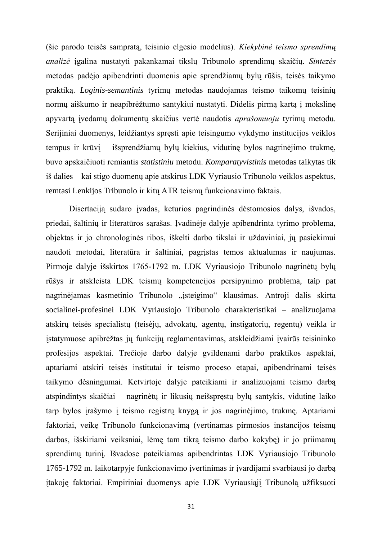(šie parodo teisės sampratą, teisinio elgesio modelius). *Kiekybinė teismo sprendimų analizė* įgalina nustatyti pakankamai tikslų Tribunolo sprendimų skaičių. *Sintezės* metodas padėjo apibendrinti duomenis apie sprendžiamų bylų rūšis, teisės taikymo praktiką. *Loginis-semantinis* tyrimų metodas naudojamas teismo taikomų teisinių normų aiškumo ir neapibrėžtumo santykiui nustatyti. Didelis pirmą kartą į mokslinę apyvartą įvedamų dokumentų skaičius vertė naudotis *aprašomuoju* tyrimų metodu. Serijiniai duomenys, leidžiantys spręsti apie teisingumo vykdymo institucijos veiklos tempus ir krūvį – išsprendžiamų bylų kiekius, vidutinę bylos nagrinėjimo trukmę, buvo apskaičiuoti remiantis *statistiniu* metodu. *Komparatyvistinis* metodas taikytas tik iš dalies – kai stigo duomenų apie atskirus LDK Vyriausio Tribunolo veiklos aspektus, remtasi Lenkijos Tribunolo ir kitų ATR teismų funkcionavimo faktais.

Disertaciją sudaro įvadas, keturios pagrindinės dėstomosios dalys, išvados, priedai, šaltinių ir literatūros sąrašas. Įvadinėje dalyje apibendrinta tyrimo problema, objektas ir jo chronologinės ribos, iškelti darbo tikslai ir uždaviniai, jų pasiekimui naudoti metodai, literatūra ir šaltiniai, pagrįstas temos aktualumas ir naujumas. Pirmoje dalyje išskirtos 1765-1792 m. LDK Vyriausiojo Tribunolo nagrinėtų bylų rūšys ir atskleista LDK teismų kompetencijos persipynimo problema, taip pat nagrinėjamas kasmetinio Tribunolo "įsteigimo" klausimas. Antroji dalis skirta socialinei-profesinei LDK Vyriausiojo Tribunolo charakteristikai – analizuojama atskirų teisės specialistų (teisėjų, advokatų, agentų, instigatorių, regentų) veikla ir įstatymuose apibrėžtas jų funkcijų reglamentavimas, atskleidžiami įvairūs teisininko profesijos aspektai. Trečioje darbo dalyje gvildenami darbo praktikos aspektai, aptariami atskiri teisės institutai ir teismo proceso etapai, apibendrinami teisės taikymo dėsningumai. Ketvirtoje dalyje pateikiami ir analizuojami teismo darbą atspindintys skaičiai – nagrinėtų ir likusių neišspręstų bylų santykis, vidutinę laiko tarp bylos įrašymo į teismo registrų knygą ir jos nagrinėjimo, trukmę. Aptariami faktoriai, veikę Tribunolo funkcionavimą (vertinamas pirmosios instancijos teismų darbas, išskiriami veiksniai, lėmę tam tikrą teismo darbo kokybę) ir jo priimamų sprendimų turinį. Išvadose pateikiamas apibendrintas LDK Vyriausiojo Tribunolo 1765-1792 m. laikotarpyje funkcionavimo įvertinimas ir įvardijami svarbiausi jo darbą itakoję faktoriai. Empiriniai duomenys apie LDK Vyriausiąjį Tribunolą užfiksuoti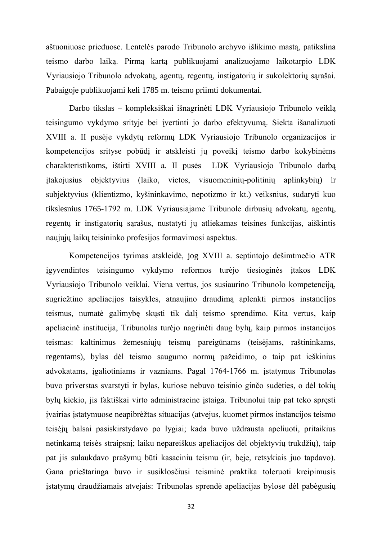aštuoniuose prieduose. Lentelės parodo Tribunolo archyvo išlikimo mastą, patikslina teismo darbo laiką. Pirmą kartą publikuojami analizuojamo laikotarpio LDK Vyriausiojo Tribunolo advokatų, agentų, regentų, instigatorių ir sukolektorių sąrašai. Pabaigoje publikuojami keli 1785 m. teismo priimti dokumentai.

Darbo tikslas – kompleksiškai išnagrinėti LDK Vyriausiojo Tribunolo veiklą teisingumo vykdymo srityje bei įvertinti jo darbo efektyvumą. Siekta išanalizuoti XVIII a. II pusėje vykdytų reformų LDK Vyriausiojo Tribunolo organizacijos ir kompetencijos srityse pobūdį ir atskleisti jų poveikį teismo darbo kokybinėms charakteristikoms, ištirti XVIII a. II pusės LDK Vyriausiojo Tribunolo darbą įtakojusius objektyvius (laiko, vietos, visuomeninių-politinių aplinkybių) ir subjektyvius (klientizmo, kyšininkavimo, nepotizmo ir kt.) veiksnius, sudaryti kuo tikslesnius 1765-1792 m. LDK Vyriausiajame Tribunole dirbusių advokatų, agentų, regentų ir instigatorių sąrašus, nustatyti jų atliekamas teisines funkcijas, aiškintis naujųjų laikų teisininko profesijos formavimosi aspektus.

Kompetencijos tyrimas atskleidė, jog XVIII a. septintojo dešimtmečio ATR įgyvendintos teisingumo vykdymo reformos turėjo tiesioginės įtakos LDK Vyriausiojo Tribunolo veiklai. Viena vertus, jos susiaurino Tribunolo kompetenciją, sugriežtino apeliacijos taisykles, atnaujino draudimą aplenkti pirmos instancijos teismus, numatė galimybę skųsti tik dalį teismo sprendimo. Kita vertus, kaip apeliacinė institucija, Tribunolas turėjo nagrinėti daug bylų, kaip pirmos instancijos teismas: kaltinimus žemesniųjų teismų pareigūnams (teisėjams, raštininkams, regentams), bylas dėl teismo saugumo normų pažeidimo, o taip pat ieškinius advokatams, įgaliotiniams ir vazniams. Pagal 1764-1766 m. įstatymus Tribunolas buvo priverstas svarstyti ir bylas, kuriose nebuvo teisinio ginčo sudėties, o dėl tokių bylų kiekio, jis faktiškai virto administracine įstaiga. Tribunolui taip pat teko spręsti įvairias įstatymuose neapibrėžtas situacijas (atvejus, kuomet pirmos instancijos teismo teisėjų balsai pasiskirstydavo po lygiai; kada buvo uždrausta apeliuoti, pritaikius netinkamą teisės straipsnį; laiku nepareiškus apeliacijos dėl objektyvių trukdžių), taip pat jis sulaukdavo prašymų būti kasaciniu teismu (ir, beje, retsykiais juo tapdavo). Gana prieštaringa buvo ir susiklosčiusi teisminė praktika toleruoti kreipimusis įstatymų draudžiamais atvejais: Tribunolas sprendė apeliacijas bylose dėl pabėgusių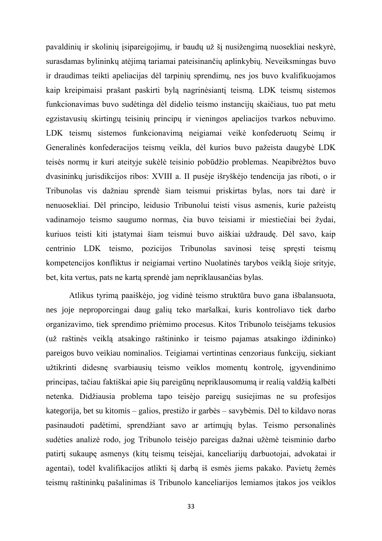pavaldinių ir skolinių įsipareigojimų, ir baudų už šį nusižengimą nuosekliai neskyrė, surasdamas bylininkų atėjimą tariamai pateisinančių aplinkybių. Neveiksmingas buvo ir draudimas teikti apeliacijas dėl tarpinių sprendimų, nes jos buvo kvalifikuojamos kaip kreipimaisi prašant paskirti bylą nagrinėsiantį teismą. LDK teismų sistemos funkcionavimas buvo sudėtinga dėl didelio teismo instancijų skaičiaus, tuo pat metu egzistavusių skirtingų teisinių principų ir vieningos apeliacijos tvarkos nebuvimo. LDK teismų sistemos funkcionavimą neigiamai veikė konfederuotų Seimų ir Generalinės konfederacijos teismų veikla, dėl kurios buvo pažeista daugybė LDK teisės normų ir kuri ateityje sukėlė teisinio pobūdžio problemas. Neapibrėžtos buvo dvasininkų jurisdikcijos ribos: XVIII a. II pusėje išryškėjo tendencija jas riboti, o ir Tribunolas vis dažniau sprendė šiam teismui priskirtas bylas, nors tai darė ir nenuosekliai. Dėl principo, leidusio Tribunolui teisti visus asmenis, kurie pažeistų vadinamojo teismo saugumo normas, čia buvo teisiami ir miestiečiai bei žydai, kuriuos teisti kiti įstatymai šiam teismui buvo aiškiai uždraudę. Dėl savo, kaip centrinio LDK teismo, pozicijos Tribunolas savinosi teisę spręsti teismų kompetencijos konfliktus ir neigiamai vertino Nuolatinės tarybos veiklą šioje srityje, bet, kita vertus, pats ne kartą sprendė jam nepriklausančias bylas.

Atlikus tyrimą paaiškėjo, jog vidinė teismo struktūra buvo gana išbalansuota, nes joje neproporcingai daug galių teko maršalkai, kuris kontroliavo tiek darbo organizavimo, tiek sprendimo priėmimo procesus. Kitos Tribunolo teisėjams tekusios (už raštinės veiklą atsakingo raštininko ir teismo pajamas atsakingo iždininko) pareigos buvo veikiau nominalios. Teigiamai vertintinas cenzoriaus funkcijų, siekiant užtikrinti didesnę svarbiausių teismo veiklos momentų kontrolę, įgyvendinimo principas, tačiau faktiškai apie šių pareigūnų nepriklausomumą ir realią valdžią kalbėti netenka. Didžiausia problema tapo teisėjo pareigų susiejimas ne su profesijos kategorija, bet su kitomis – galios, prestižo ir garbės – savybėmis. Dėl to kildavo noras pasinaudoti padėtimi, sprendžiant savo ar artimųjų bylas. Teismo personalinės sudėties analizė rodo, jog Tribunolo teisėjo pareigas dažnai užėmė teisminio darbo patirtį sukaupę asmenys (kitų teismų teisėjai, kanceliarijų darbuotojai, advokatai ir agentai), todėl kvalifikacijos atlikti šį darbą iš esmės jiems pakako. Pavietų žemės teismų raštininkų pašalinimas iš Tribunolo kanceliarijos lemiamos įtakos jos veiklos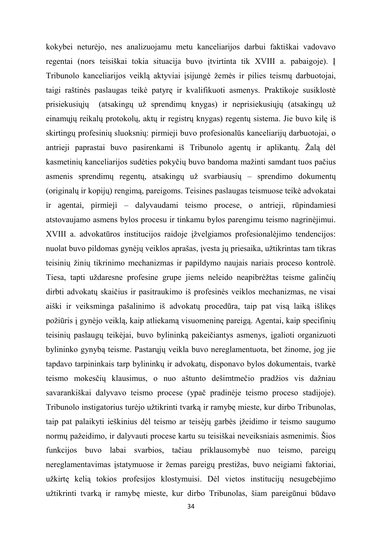kokybei neturėjo, nes analizuojamu metu kanceliarijos darbui faktiškai vadovavo regentai (nors teisiškai tokia situacija buvo įtvirtinta tik XVIII a. pabaigoje). Į Tribunolo kanceliarijos veiklą aktyviai įsijungė žemės ir pilies teismų darbuotojai, taigi raštinės paslaugas teikė patyrę ir kvalifikuoti asmenys. Praktikoje susiklostė prisiekusiųjų (atsakingų už sprendimų knygas) ir neprisiekusiųjų (atsakingų už einamųjų reikalų protokolų, aktų ir registrų knygas) regentų sistema. Jie buvo kilę iš skirtingų profesinių sluoksnių: pirmieji buvo profesionalūs kanceliarijų darbuotojai, o antrieji paprastai buvo pasirenkami iš Tribunolo agentų ir aplikantų. Žalą dėl kasmetinių kanceliarijos sudėties pokyčių buvo bandoma mažinti samdant tuos pačius asmenis sprendimų regentų, atsakingų už svarbiausių – sprendimo dokumentų (originalų ir kopijų) rengimą, pareigoms. Teisines paslaugas teismuose teikė advokatai ir agentai, pirmieji – dalyvaudami teismo procese, o antrieji, rūpindamiesi atstovaujamo asmens bylos procesu ir tinkamu bylos parengimu teismo nagrinėjimui. XVIII a. advokatūros institucijos raidoje įžvelgiamos profesionalėjimo tendencijos: nuolat buvo pildomas gynėjų veiklos aprašas, įvesta jų priesaika, užtikrintas tam tikras teisinių žinių tikrinimo mechanizmas ir papildymo naujais nariais proceso kontrolė. Tiesa, tapti uždaresne profesine grupe jiems neleido neapibrėžtas teisme galinčių dirbti advokatų skaičius ir pasitraukimo iš profesinės veiklos mechanizmas, ne visai aiški ir veiksminga pašalinimo iš advokatų procedūra, taip pat visą laiką išlikęs požiūris į gynėjo veiklą, kaip atliekamą visuomeninę pareigą. Agentai, kaip specifinių teisinių paslaugų teikėjai, buvo bylininką pakeičiantys asmenys, įgalioti organizuoti bylininko gynyba teisme. Pastarujų veikla buvo nereglamentuota, bet žinome, jog jie tapdavo tarpininkais tarp bylininkų ir advokatų, disponavo bylos dokumentais, tvarkė teismo mokesčių klausimus, o nuo aštunto dešimtmečio pradžios vis dažniau savarankiškai dalyvavo teismo procese (ypač pradinėje teismo proceso stadijoje). Tribunolo instigatorius turėjo užtikrinti tvarką ir ramybę mieste, kur dirbo Tribunolas, taip pat palaikyti ieškinius dėl teismo ar teisėjų garbės įžeidimo ir teismo saugumo normų pažeidimo, ir dalyvauti procese kartu su teisiškai neveiksniais asmenimis. Šios funkcijos buvo labai svarbios, tačiau priklausomybė nuo teismo, pareigų nereglamentavimas įstatymuose ir žemas pareigų prestižas, buvo neigiami faktoriai, užkirtę kelią tokios profesijos klostymuisi. Dėl vietos institucijų nesugebėjimo užtikrinti tvarką ir ramybę mieste, kur dirbo Tribunolas, šiam pareigūnui būdavo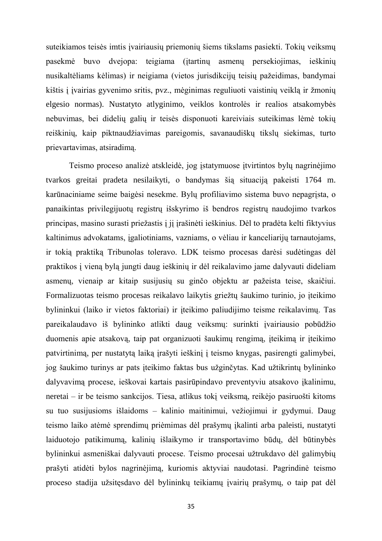suteikiamos teisės imtis įvairiausių priemonių šiems tikslams pasiekti. Tokių veiksmų pasekmė buvo dvejopa: teigiama (įtartinų asmenų persekiojimas, ieškinių nusikaltėliams kėlimas) ir neigiama (vietos jurisdikcijų teisių pažeidimas, bandymai kištis į įvairias gyvenimo sritis, pvz., mėginimas reguliuoti vaistinių veiklą ir žmonių elgesio normas). Nustatyto atlyginimo, veiklos kontrolės ir realios atsakomybės nebuvimas, bei didelių galių ir teisės disponuoti kareiviais suteikimas lėmė tokių reiškinių, kaip piktnaudžiavimas pareigomis, savanaudiškų tikslų siekimas, turto prievartavimas, atsiradimą.

Teismo proceso analizė atskleidė, jog įstatymuose įtvirtintos bylų nagrinėjimo tvarkos greitai pradeta nesilaikyti, o bandymas šią situaciją pakeisti 1764 m. karūnaciniame seime baigėsi nesekme. Bylų profiliavimo sistema buvo nepagrįsta, o panaikintas privilegijuotų registrų išskyrimo iš bendros registrų naudojimo tvarkos principas, masino surasti priežastis į jį įrašinėti ieškinius. Dėl to pradėta kelti fiktyvius kaltinimus advokatams, įgaliotiniams, vazniams, o vėliau ir kanceliarijų tarnautojams, ir tokią praktiką Tribunolas toleravo. LDK teismo procesas darėsi sudėtingas dėl praktikos į vieną bylą jungti daug ieškinių ir dėl reikalavimo jame dalyvauti dideliam asmenų, vienaip ar kitaip susijusių su ginčo objektu ar pažeista teise, skaičiui. Formalizuotas teismo procesas reikalavo laikytis griežtų šaukimo turinio, jo įteikimo bylininkui (laiko ir vietos faktoriai) ir įteikimo paliudijimo teisme reikalavimų. Tas pareikalaudavo iš bylininko atlikti daug veiksmų: surinkti įvairiausio pobūdžio duomenis apie atsakovą, taip pat organizuoti šaukimų rengimą, įteikimą ir įteikimo patvirtinimą, per nustatytą laiką įrašyti ieškinį į teismo knygas, pasirengti galimybei, jog šaukimo turinys ar pats įteikimo faktas bus užginčytas. Kad užtikrintų bylininko dalyvavimą procese, ieškovai kartais pasirūpindavo preventyviu atsakovo įkalinimu, neretai – ir be teismo sankcijos. Tiesa, atlikus tokį veiksmą, reikėjo pasiruošti kitoms su tuo susijusioms išlaidoms – kalinio maitinimui, vežiojimui ir gydymui. Daug teismo laiko atėmė sprendimų priėmimas dėl prašymų įkalinti arba paleisti, nustatyti laiduotojo patikimumą, kalinių išlaikymo ir transportavimo būdų, dėl būtinybės bylininkui asmeniškai dalyvauti procese. Teismo procesai užtrukdavo dėl galimybių prašyti atidėti bylos nagrinėjimą, kuriomis aktyviai naudotasi. Pagrindinė teismo proceso stadija užsitęsdavo dėl bylininkų teikiamų įvairių prašymų, o taip pat dėl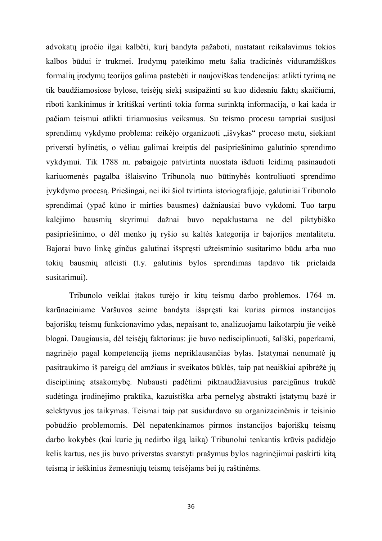advokatų įpročio ilgai kalbėti, kurį bandyta pažaboti, nustatant reikalavimus tokios kalbos būdui ir trukmei. Įrodymų pateikimo metu šalia tradicinės viduramžiškos formalių įrodymų teorijos galima pastebėti ir naujoviškas tendencijas: atlikti tyrimą ne tik baudžiamosiose bylose, teisėjų siekį susipažinti su kuo didesniu faktų skaičiumi, riboti kankinimus ir kritiškai vertinti tokia forma surinktą informaciją, o kai kada ir pačiam teismui atlikti tiriamuosius veiksmus. Su teismo procesu tampriai susijusi sprendimų vykdymo problema: reikėjo organizuoti "išvykas" proceso metu, siekiant priversti bylinėtis, o vėliau galimai kreiptis dėl pasipriešinimo galutinio sprendimo vykdymui. Tik 1788 m. pabaigoje patvirtinta nuostata išduoti leidimą pasinaudoti kariuomenės pagalba išlaisvino Tribunolą nuo būtinybės kontroliuoti sprendimo įvykdymo procesą. Priešingai, nei iki šiol tvirtinta istoriografijoje, galutiniai Tribunolo sprendimai (ypač kūno ir mirties bausmes) dažniausiai buvo vykdomi. Tuo tarpu kalėjimo bausmių skyrimui dažnai buvo nepaklustama ne dėl piktybiško pasipriešinimo, o dėl menko jų ryšio su kaltės kategorija ir bajorijos mentalitetu. Bajorai buvo linkę ginčus galutinai išspręsti užteisminio susitarimo būdu arba nuo tokių bausmių atleisti (t.y. galutinis bylos sprendimas tapdavo tik prielaida susitarimui).

Tribunolo veiklai įtakos turėjo ir kitų teismų darbo problemos. 1764 m. karūnaciniame Varšuvos seime bandyta išspręsti kai kurias pirmos instancijos bajoriškų teismų funkcionavimo ydas, nepaisant to, analizuojamu laikotarpiu jie veikė blogai. Daugiausia, dėl teisėjų faktoriaus: jie buvo nedisciplinuoti, šališki, paperkami, nagrinėjo pagal kompetenciją jiems nepriklausančias bylas. Įstatymai nenumatė jų pasitraukimo iš pareigų dėl amžiaus ir sveikatos būklės, taip pat neaiškiai apibrėžė jų disciplininę atsakomybę. Nubausti padėtimi piktnaudžiavusius pareigūnus trukdė sudėtinga įrodinėjimo praktika, kazuistiška arba pernelyg abstrakti įstatymų bazė ir selektyvus jos taikymas. Teismai taip pat susidurdavo su organizacinėmis ir teisinio pobūdžio problemomis. Dėl nepatenkinamos pirmos instancijos bajoriškų teismų darbo kokybės (kai kurie jų nedirbo ilgą laiką) Tribunolui tenkantis krūvis padidėjo kelis kartus, nes jis buvo priverstas svarstyti prašymus bylos nagrinėjimui paskirti kitą teismą ir ieškinius žemesniųjų teismų teisėjams bei jų raštinėms.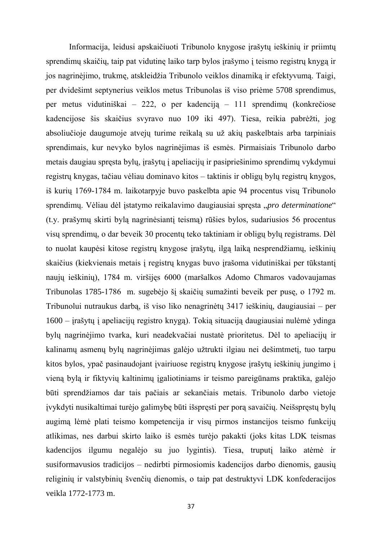Informacija, leidusi apskaičiuoti Tribunolo knygose įrašytų ieškinių ir priimtų sprendimų skaičių, taip pat vidutinę laiko tarp bylos įrašymo į teismo registrų knygą ir jos nagrinėjimo, trukmę, atskleidžia Tribunolo veiklos dinamiką ir efektyvumą. Taigi, per dvidešimt septynerius veiklos metus Tribunolas iš viso priėme 5708 sprendimus, per metus vidutiniškai – 222, o per kadenciją – 111 sprendimų (konkrečiose kadencijose šis skaičius svyravo nuo 109 iki 497). Tiesa, reikia pabrėžti, jog absoliučioje daugumoje atvejų turime reikalą su už akių paskelbtais arba tarpiniais sprendimais, kur nevyko bylos nagrinėjimas iš esmės. Pirmaisiais Tribunolo darbo metais daugiau spręsta bylų, įrašytų į apeliacijų ir pasipriešinimo sprendimų vykdymui registrų knygas, tačiau vėliau dominavo kitos – taktinis ir obligų bylų registrų knygos, iš kurių 1769-1784 m. laikotarpyje buvo paskelbta apie 94 procentus visų Tribunolo sprendimų. Vėliau dėl įstatymo reikalavimo daugiausiai spręsta "*pro determinatione*" (t.y. prašymų skirti bylą nagrinėsiantį teismą) rūšies bylos, sudariusios 56 procentus visų sprendimų, o dar beveik 30 procentų teko taktiniam ir obligų bylų registrams. Dėl to nuolat kaupėsi kitose registrų knygose įrašytų, ilgą laiką nesprendžiamų, ieškinių skaičius (kiekvienais metais į registrų knygas buvo įrašoma vidutiniškai per tūkstantį naujų ieškinių), 1784 m. viršijęs 6000 (maršalkos Adomo Chmaros vadovaujamas Tribunolas 1785-1786 m. sugebėjo ši skaičių sumažinti beveik per pusę, o 1792 m. Tribunolui nutraukus darbą, iš viso liko nenagrinėtų 3417 ieškinių, daugiausiai – per 1600 – įrašytų į apeliacijų registro knygą). Tokią situaciją daugiausiai nulėmė ydinga bylų nagrinėjimo tvarka, kuri neadekvačiai nustatė prioritetus. Dėl to apeliacijų ir kalinamų asmenų bylų nagrinėjimas galėjo užtrukti ilgiau nei dešimtmetį, tuo tarpu kitos bylos, ypač pasinaudojant įvairiuose registrų knygose įrašytų ieškinių jungimo į vieną bylą ir fiktyvių kaltinimų įgaliotiniams ir teismo pareigūnams praktika, galėjo būti sprendžiamos dar tais pačiais ar sekančiais metais. Tribunolo darbo vietoje įvykdyti nusikaltimai turėjo galimybę būti išspręsti per porą savaičių. Neišspręstų bylų augimą lėmė plati teismo kompetencija ir visų pirmos instancijos teismo funkcijų atlikimas, nes darbui skirto laiko iš esmės turėjo pakakti (joks kitas LDK teismas kadencijos ilgumu negalėjo su juo lygintis). Tiesa, truputį laiko atėmė ir susiformavusios tradicijos – nedirbti pirmosiomis kadencijos darbo dienomis, gausių religinių ir valstybinių švenčių dienomis, o taip pat destruktyvi LDK konfederacijos veikla 1772-1773 m.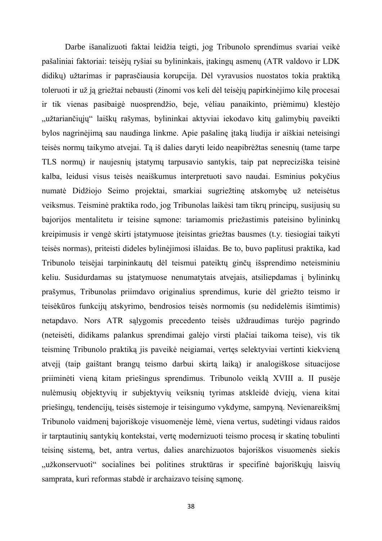Darbe išanalizuoti faktai leidžia teigti, jog Tribunolo sprendimus svariai veikė pašaliniai faktoriai: teisėjų ryšiai su bylininkais, įtakingų asmenų (ATR valdovo ir LDK didikų) užtarimas ir paprasčiausia korupcija. Dėl vyravusios nuostatos tokia praktiką toleruoti ir už ją griežtai nebausti (žinomi vos keli dėl teisėjų papirkinėjimo kilę procesai ir tik vienas pasibaigė nuosprendžio, beje, vėliau panaikinto, priėmimu) klestėjo "užtariančiųjų" laiškų rašymas, bylininkai aktyviai iekodavo kitų galimybių paveikti bylos nagrinėjimą sau naudinga linkme. Apie pašalinę įtaką liudija ir aiškiai neteisingi teisės normų taikymo atvejai. Tą iš dalies daryti leido neapibrėžtas senesnių (tame tarpe TLS normų) ir naujesnių įstatymų tarpusavio santykis, taip pat nepreciziška teisinė kalba, leidusi visus teisės neaiškumus interpretuoti savo naudai. Esminius pokyčius numatė Didžiojo Seimo projektai, smarkiai sugriežtinę atskomybę už neteisėtus veiksmus. Teisminė praktika rodo, jog Tribunolas laikėsi tam tikrų principų, susijusių su bajorijos mentalitetu ir teisine sąmone: tariamomis priežastimis pateisino bylininkų kreipimusis ir vengė skirti įstatymuose įteisintas griežtas bausmes (t.y. tiesiogiai taikyti teisės normas), priteisti dideles bylinėjimosi išlaidas. Be to, buvo paplitusi praktika, kad Tribunolo teisėjai tarpininkautų dėl teismui pateiktų ginčų išsprendimo neteisminiu keliu. Susidurdamas su įstatymuose nenumatytais atvejais, atsiliepdamas į bylininkų prašymus, Tribunolas priimdavo originalius sprendimus, kurie dėl griežto teismo ir teisėkūros funkcijų atskyrimo, bendrosios teisės normomis (su nedidelėmis išimtimis) netapdavo. Nors ATR sąlygomis precedento teisės uždraudimas turėjo pagrindo (neteisėti, didikams palankus sprendimai galėjo virsti plačiai taikoma teise), vis tik teisminę Tribunolo praktiką jis paveikė neigiamai, vertęs selektyviai vertinti kiekvieną atvejį (taip gaištant brangų teismo darbui skirtą laiką) ir analogiškose situacijose priiminėti vieną kitam priešingus sprendimus. Tribunolo veiklą XVIII a. II pusėje nulėmusių objektyvių ir subjektyvių veiksnių tyrimas atskleidė dviejų, viena kitai priešingų, tendencijų, teisės sistemoje ir teisingumo vykdyme, sampyną. Nevienareikšmį Tribunolo vaidmenį bajoriškoje visuomenėje lėmė, viena vertus, sudėtingi vidaus raidos ir tarptautinių santykių kontekstai, vertę modernizuoti teismo procesą ir skatinę tobulinti teisinę sistemą, bet, antra vertus, dalies anarchizuotos bajoriškos visuomenės siekis "užkonservuoti" socialines bei politines struktūras ir specifinė bajoriškųjų laisvių samprata, kuri reformas stabdė ir archaizavo teisinę sąmonę.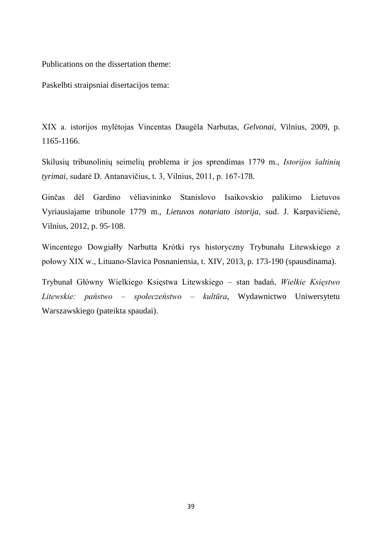Publications on the dissertation theme:

Paskelbti straipsniai disertacijos tema:

XIX a. istorijos mylėtojas Vincentas Daugėla Narbutas, *Gelvonai*, Vilnius, 2009, p. 1165-1166.

Skilusių tribunolinių seimelių problema ir jos sprendimas 1779 m., *Istorijos šaltinių tyrimai*, sudarė D. Antanavičius, t. 3, Vilnius, 2011, p. 167-178.

Ginčas dėl Gardino vėliavininko Stanislovo Isaikovskio palikimo Lietuvos Vyriausiajame tribunole 1779 m., *Lietuvos notariato istorija*, sud. J. Karpavičienė, Vilnius, 2012, p. 95-108.

Wincentego Dowgiałły Narbutta Krótki rys historyczny Trybunału Litewskiego z połowy XIX w., Lituano-Slavica Posnaniensia, t. XIV, 2013, p. 173-190 (spausdinama).

Trybunał Główny Wielkiego Księstwa Litewskiego – stan badań, *Wielkie Księstwo Litewskie: państwo – społeczeństwo – kultūra*, Wydawnictwo Uniwersytetu Warszawskiego (pateikta spaudai).